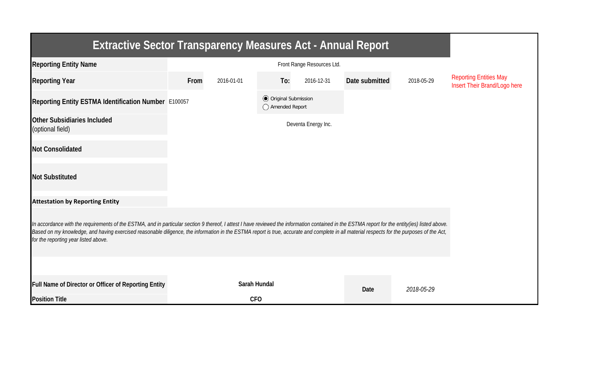| <b>Extractive Sector Transparency Measures Act - Annual Report</b>                                                                                                                                                                                                                                                                                                                                                                    |      |              |                                                  |                     |                |            |                                                               |  |  |  |
|---------------------------------------------------------------------------------------------------------------------------------------------------------------------------------------------------------------------------------------------------------------------------------------------------------------------------------------------------------------------------------------------------------------------------------------|------|--------------|--------------------------------------------------|---------------------|----------------|------------|---------------------------------------------------------------|--|--|--|
| <b>Reporting Entity Name</b>                                                                                                                                                                                                                                                                                                                                                                                                          |      |              |                                                  |                     |                |            |                                                               |  |  |  |
| <b>Reporting Year</b>                                                                                                                                                                                                                                                                                                                                                                                                                 | From | 2016-01-01   | To:                                              | 2016-12-31          | Date submitted | 2018-05-29 | <b>Reporting Entities May</b><br>Insert Their Brand/Logo here |  |  |  |
| Reporting Entity ESTMA Identification Number E100057                                                                                                                                                                                                                                                                                                                                                                                  |      |              | <b>◎</b> Original Submission<br>◯ Amended Report |                     |                |            |                                                               |  |  |  |
| <b>Other Subsidiaries Included</b><br>(optional field)                                                                                                                                                                                                                                                                                                                                                                                |      |              |                                                  | Deventa Energy Inc. |                |            |                                                               |  |  |  |
| <b>Not Consolidated</b>                                                                                                                                                                                                                                                                                                                                                                                                               |      |              |                                                  |                     |                |            |                                                               |  |  |  |
| <b>Not Substituted</b>                                                                                                                                                                                                                                                                                                                                                                                                                |      |              |                                                  |                     |                |            |                                                               |  |  |  |
| <b>Attestation by Reporting Entity</b>                                                                                                                                                                                                                                                                                                                                                                                                |      |              |                                                  |                     |                |            |                                                               |  |  |  |
| In accordance with the requirements of the ESTMA, and in particular section 9 thereof, I attest I have reviewed the information contained in the ESTMA report for the entity(ies) listed above.<br>Based on my knowledge, and having exercised reasonable diligence, the information in the ESTMA report is true, accurate and complete in all material respects for the purposes of the Act,<br>for the reporting year listed above. |      |              |                                                  |                     |                |            |                                                               |  |  |  |
|                                                                                                                                                                                                                                                                                                                                                                                                                                       |      |              |                                                  |                     |                |            |                                                               |  |  |  |
| Full Name of Director or Officer of Reporting Entity                                                                                                                                                                                                                                                                                                                                                                                  |      | Sarah Hundal |                                                  |                     | Date           | 2018-05-29 |                                                               |  |  |  |
| <b>Position Title</b>                                                                                                                                                                                                                                                                                                                                                                                                                 |      | <b>CFO</b>   |                                                  |                     |                |            |                                                               |  |  |  |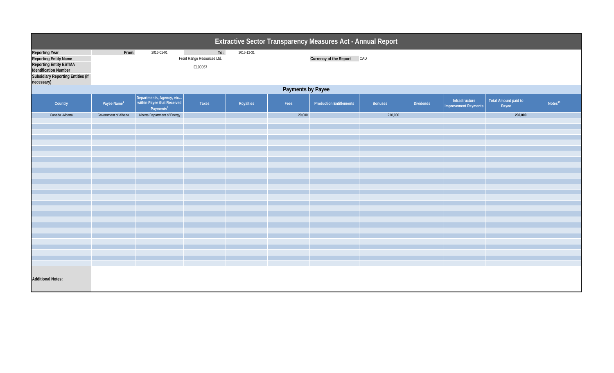| Extractive Sector Transparency Measures Act - Annual Report                                                                                                               |                         |                                                                                 |                                              |            |        |                                |                |           |                                               |                               |                     |  |
|---------------------------------------------------------------------------------------------------------------------------------------------------------------------------|-------------------------|---------------------------------------------------------------------------------|----------------------------------------------|------------|--------|--------------------------------|----------------|-----------|-----------------------------------------------|-------------------------------|---------------------|--|
| <b>Reporting Year</b><br><b>Reporting Entity Name</b><br><b>Reporting Entity ESTMA</b><br>Identification Number<br><b>Subsidiary Reporting Entities (if</b><br>necessary) | From:                   | 2016-01-01                                                                      | To:<br>Front Range Resources Ltd.<br>E100057 | 2016-12-31 |        | Currency of the Report CAD     |                |           |                                               |                               |                     |  |
|                                                                                                                                                                           | Payments by Payee       |                                                                                 |                                              |            |        |                                |                |           |                                               |                               |                     |  |
| Country                                                                                                                                                                   | Payee Name <sup>1</sup> | Departments, Agency, etc<br>within Payee that Received<br>Payments <sup>2</sup> | Taxes                                        | Royalties  | Fees   | <b>Production Entitlements</b> | <b>Bonuses</b> | Dividends | Infrastructure<br><b>Improvement Payments</b> | Total Amount paid to<br>Payee | Notes <sup>34</sup> |  |
| Canada - Alberta                                                                                                                                                          | Government of Alberta   | Alberta Department of Energy                                                    |                                              |            | 20,000 |                                | 210,000        |           |                                               | 230,000                       |                     |  |
|                                                                                                                                                                           |                         |                                                                                 |                                              |            |        |                                |                |           |                                               |                               |                     |  |
|                                                                                                                                                                           |                         |                                                                                 |                                              |            |        |                                |                |           |                                               |                               |                     |  |
|                                                                                                                                                                           |                         |                                                                                 |                                              |            |        |                                |                |           |                                               |                               |                     |  |
|                                                                                                                                                                           |                         |                                                                                 |                                              |            |        |                                |                |           |                                               |                               |                     |  |
|                                                                                                                                                                           |                         |                                                                                 |                                              |            |        |                                |                |           |                                               |                               |                     |  |
|                                                                                                                                                                           |                         |                                                                                 |                                              |            |        |                                |                |           |                                               |                               |                     |  |
|                                                                                                                                                                           |                         |                                                                                 |                                              |            |        |                                |                |           |                                               |                               |                     |  |
|                                                                                                                                                                           |                         |                                                                                 |                                              |            |        |                                |                |           |                                               |                               |                     |  |
|                                                                                                                                                                           |                         |                                                                                 |                                              |            |        |                                |                |           |                                               |                               |                     |  |
|                                                                                                                                                                           |                         |                                                                                 |                                              |            |        |                                |                |           |                                               |                               |                     |  |
|                                                                                                                                                                           |                         |                                                                                 |                                              |            |        |                                |                |           |                                               |                               |                     |  |
|                                                                                                                                                                           |                         |                                                                                 |                                              |            |        |                                |                |           |                                               |                               |                     |  |
|                                                                                                                                                                           |                         |                                                                                 |                                              |            |        |                                |                |           |                                               |                               |                     |  |
|                                                                                                                                                                           |                         |                                                                                 |                                              |            |        |                                |                |           |                                               |                               |                     |  |
|                                                                                                                                                                           |                         |                                                                                 |                                              |            |        |                                |                |           |                                               |                               |                     |  |
|                                                                                                                                                                           |                         |                                                                                 |                                              |            |        |                                |                |           |                                               |                               |                     |  |
| <b>Additional Notes:</b>                                                                                                                                                  |                         |                                                                                 |                                              |            |        |                                |                |           |                                               |                               |                     |  |